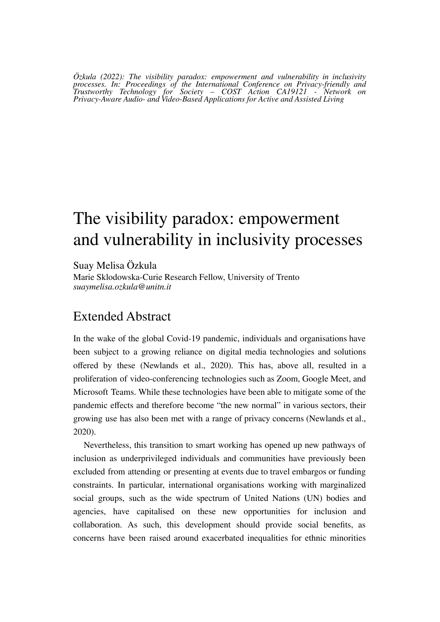*Özkula (2022): The visibility paradox: empowerment and vulnerability in inclusivity processes. In: Proceedings of the International Conference on Privacy-friendly and Trustworthy Technology for Society – COST Action CA19121 - Network on Privacy-Aware Audio- and Video-Based Applications for Active and Assisted Living*

## The visibility paradox: empowerment and vulnerability in inclusivity processes

Suay Melisa Özkula Marie Sklodowska-Curie Research Fellow, University of Trento *suaymelisa.ozkula@unitn.it*

## Extended Abstract

In the wake of the global Covid-19 pandemic, individuals and organisations have been subject to a growing reliance on digital media technologies and solutions offered by these (Newlands et al., 2020). This has, above all, resulted in a proliferation of video-conferencing technologies such as Zoom, Google Meet, and Microsoft Teams. While these technologies have been able to mitigate some of the pandemic effects and therefore become "the new normal" in various sectors, their growing use has also been met with a range of privacy concerns (Newlands et al., 2020).

Nevertheless, this transition to smart working has opened up new pathways of inclusion as underprivileged individuals and communities have previously been excluded from attending or presenting at events due to travel embargos or funding constraints. In particular, international organisations working with marginalized social groups, such as the wide spectrum of United Nations (UN) bodies and agencies, have capitalised on these new opportunities for inclusion and collaboration. As such, this development should provide social benefits, as concerns have been raised around exacerbated inequalities for ethnic minorities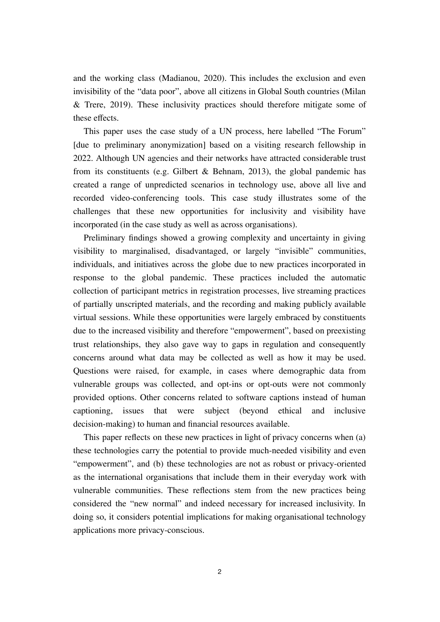and the working class (Madianou, 2020). This includes the exclusion and even invisibility of the "data poor", above all citizens in Global South countries (Milan & Trere, 2019). These inclusivity practices should therefore mitigate some of these effects.

This paper uses the case study of a UN process, here labelled "The Forum" [due to preliminary anonymization] based on a visiting research fellowship in 2022. Although UN agencies and their networks have attracted considerable trust from its constituents (e.g. Gilbert & Behnam, 2013), the global pandemic has created a range of unpredicted scenarios in technology use, above all live and recorded video-conferencing tools. This case study illustrates some of the challenges that these new opportunities for inclusivity and visibility have incorporated (in the case study as well as across organisations).

Preliminary findings showed a growing complexity and uncertainty in giving visibility to marginalised, disadvantaged, or largely "invisible" communities, individuals, and initiatives across the globe due to new practices incorporated in response to the global pandemic. These practices included the automatic collection of participant metrics in registration processes, live streaming practices of partially unscripted materials, and the recording and making publicly available virtual sessions. While these opportunities were largely embraced by constituents due to the increased visibility and therefore "empowerment", based on preexisting trust relationships, they also gave way to gaps in regulation and consequently concerns around what data may be collected as well as how it may be used. Questions were raised, for example, in cases where demographic data from vulnerable groups was collected, and opt-ins or opt-outs were not commonly provided options. Other concerns related to software captions instead of human captioning, issues that were subject (beyond ethical and inclusive decision-making) to human and financial resources available.

This paper reflects on these new practices in light of privacy concerns when (a) these technologies carry the potential to provide much-needed visibility and even "empowerment", and (b) these technologies are not as robust or privacy-oriented as the international organisations that include them in their everyday work with vulnerable communities. These reflections stem from the new practices being considered the "new normal" and indeed necessary for increased inclusivity. In doing so, it considers potential implications for making organisational technology applications more privacy-conscious.